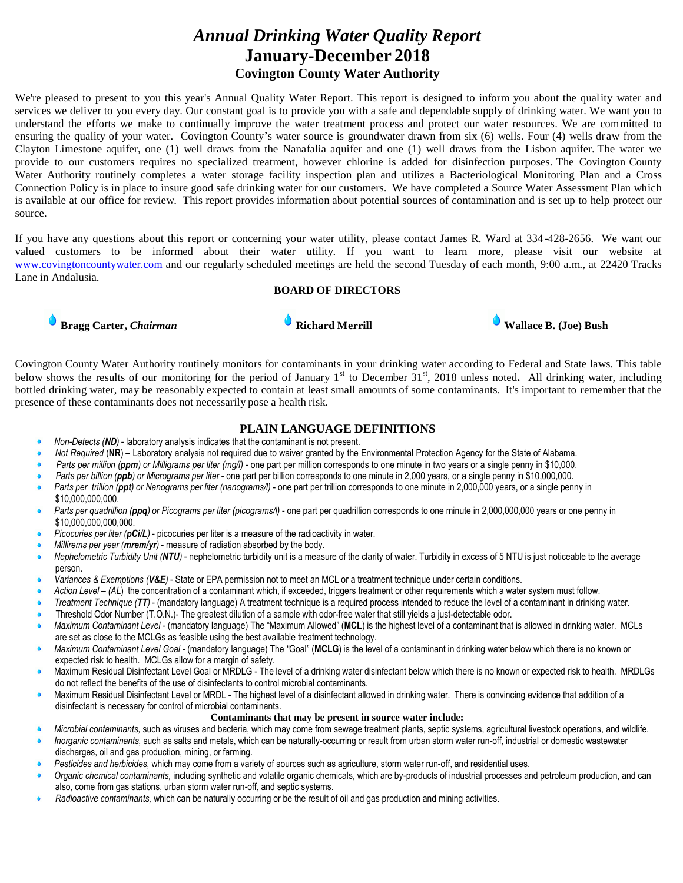# *Annual Drinking Water Quality Report* **January-December 2018 Covington County Water Authority**

We're pleased to present to you this year's Annual Quality Water Report. This report is designed to inform you about the quality water and services we deliver to you every day. Our constant goal is to provide you with a safe and dependable supply of drinking water. We want you to understand the efforts we make to continually improve the water treatment process and protect our water resources. We are committed to ensuring the quality of your water. Covington County's water source is groundwater drawn from six (6) wells. Four (4) wells draw from the Clayton Limestone aquifer, one (1) well draws from the Nanafalia aquifer and one (1) well draws from the Lisbon aquifer. The water we provide to our customers requires no specialized treatment, however chlorine is added for disinfection purposes. The Covington County Water Authority routinely completes a water storage facility inspection plan and utilizes a Bacteriological Monitoring Plan and a Cross Connection Policy is in place to insure good safe drinking water for our customers. We have completed a Source Water Assessment Plan which is available at our office for review. This report provides information about potential sources of contamination and is set up to help protect our source.

If you have any questions about this report or concerning your water utility, please contact James R. Ward at 334 -428-2656. We want our valued customers to be informed about their water utility. If you want to learn more, please visit our website at [www.covingtoncountywater.com](http://www.covingtoncountywater.com/) and our regularly scheduled meetings are held the second Tuesday of each month, 9:00 a.m., at 22420 Tracks Lane in Andalusia.

#### **BOARD OF DIRECTORS**





Covington County Water Authority routinely monitors for contaminants in your drinking water according to Federal and State laws. This table below shows the results of our monitoring for the period of January 1<sup>st</sup> to December 31<sup>st</sup>, 2018 unless noted. All drinking water, including bottled drinking water, may be reasonably expected to contain at least small amounts of some contaminants. It's important to remember that the presence of these contaminants does not necessarily pose a health risk.

#### **PLAIN LANGUAGE DEFINITIONS**

- *Non-Detects (ND)* laboratory analysis indicates that the contaminant is not present.
- *Not Required* (**NR**) Laboratory analysis not required due to waiver granted by the Environmental Protection Agency for the State of Alabama.
- *Parts per million (ppm) or Milligrams per liter (mg/l)* one part per million corresponds to one minute in two years or a single penny in \$10,000.
- *Parts per billion (ppb) or Micrograms per liter* one part per billion corresponds to one minute in 2,000 years, or a single penny in \$10,000,000.
- *Parts per trillion (ppt) or Nanograms per liter (nanograms/l)*  one part per trillion corresponds to one minute in 2,000,000 years, or a single penny in \$10,000,000,000.
- *Parts per quadrillion* (*ppq*) or *Picograms per liter (picograms/l)* one part per quadrillion corresponds to one minute in 2,000,000,000 years or one penny in \$10,000,000,000,000.
- *Picocuries per liter (pCi/L)* picocuries per liter is a measure of the radioactivity in water.
- *Millirems per year (mrem/yr)* measure of radiation absorbed by the body.
- *Nephelometric Turbidity Unit (NTU)* nephelometric turbidity unit is a measure of the clarity of water. Turbidity in excess of 5 NTU is just noticeable to the average person.
- *Variances & Exemptions (V&E)* State or EPA permission not to meet an MCL or a treatment technique under certain conditions.
- *Action Level (AL*) the concentration of a contaminant which, if exceeded, triggers treatment or other requirements which a water system must follow.
- *Treatment Technique (TT)* (mandatory language) A treatment technique is a required process intended to reduce the level of a contaminant in drinking water.
- Threshold Odor Number (T.O.N.)- The greatest dilution of a sample with odor-free water that still yields a just-detectable odor.
- *Maximum Contaminant Level* (mandatory language) The "Maximum Allowed" (**MCL**) is the highest level of a contaminant that is allowed in drinking water. MCLs are set as close to the MCLGs as feasible using the best available treatment technology.
- *Maximum Contaminant Level Goal* (mandatory language) The "Goal" (**MCLG**) is the level of a contaminant in drinking water below which there is no known or expected risk to health. MCLGs allow for a margin of safety.
- Maximum Residual Disinfectant Level Goal or MRDLG The level of a drinking water disinfectant below which there is no known or expected risk to health. MRDLGs do not reflect the benefits of the use of disinfectants to control microbial contaminants.
- Maximum Residual Disinfectant Level or MRDL The highest level of a disinfectant allowed in drinking water. There is convincing evidence that addition of a disinfectant is necessary for control of microbial contaminants.

### **Contaminants that may be present in source water include:**

- *Microbial contaminants,* such as viruses and bacteria, which may come from sewage treatment plants, septic systems, agricultural livestock operations, and wildlife. *Inorganic contaminants,* such as salts and metals, which can be naturally-occurring or result from urban storm water run-off, industrial or domestic wastewater
- discharges, oil and gas production, mining, or farming. *Pesticides and herbicides,* which may come from a variety of sources such as agriculture, storm water run-off, and residential uses.
- *Organic chemical contaminants,* including synthetic and volatile organic chemicals, which are by-products of industrial processes and petroleum production, and can also, come from gas stations, urban storm water run-off, and septic systems.
- *Radioactive contaminants,* which can be naturally occurring or be the result of oil and gas production and mining activities.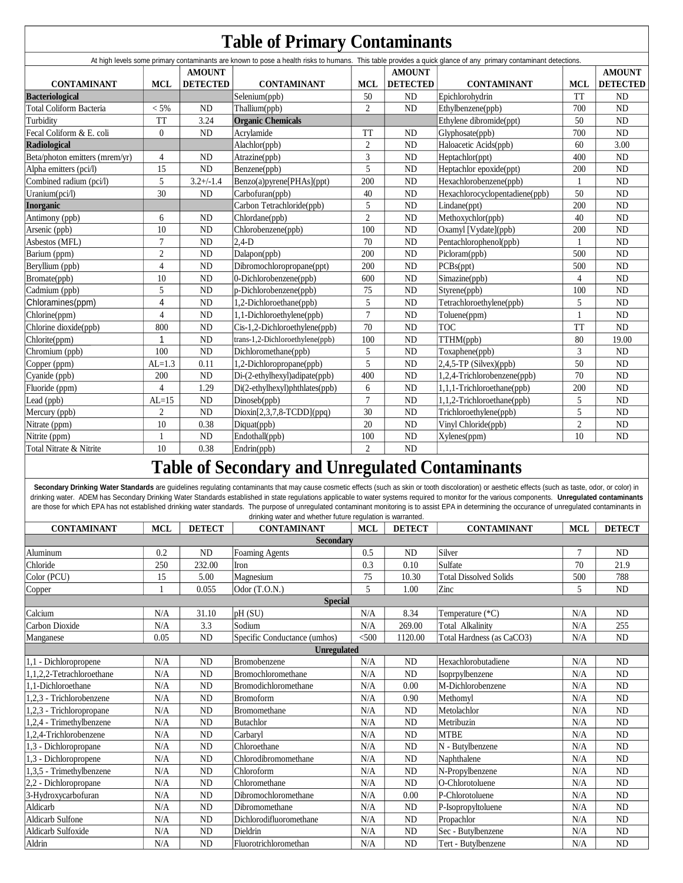|                                |                         |                 |                                 |                                                        |                            | At high levels some primary contaminants are known to pose a health risks to humans. This table provides a quick glance of any primary contaminant detections. |                |                 |
|--------------------------------|-------------------------|-----------------|---------------------------------|--------------------------------------------------------|----------------------------|----------------------------------------------------------------------------------------------------------------------------------------------------------------|----------------|-----------------|
|                                |                         | <b>AMOUNT</b>   |                                 |                                                        | <b>AMOUNT</b>              |                                                                                                                                                                |                | <b>AMOUNT</b>   |
| <b>CONTAMINANT</b>             | <b>MCL</b>              | <b>DETECTED</b> | <b>CONTAMINANT</b>              | <b>MCL</b>                                             | <b>DETECTED</b>            | <b>CONTAMINANT</b>                                                                                                                                             | <b>MCL</b>     | <b>DETECTED</b> |
| <b>Bacteriological</b>         |                         |                 | Selenium(ppb)                   | 50                                                     | <b>ND</b>                  | Epichlorohydrin                                                                                                                                                | <b>TT</b>      | <b>ND</b>       |
| Total Coliform Bacteria        | $< 5\%$                 | <b>ND</b>       | Thallium(ppb)                   | $\overline{2}$                                         | ND                         | Ethylbenzene(ppb)                                                                                                                                              | 700            | <b>ND</b>       |
| Turbidity                      | <b>TT</b>               | 3.24            | <b>Organic Chemicals</b>        |                                                        |                            | Ethylene dibromide(ppt)                                                                                                                                        | 50             | N <sub>D</sub>  |
| Fecal Coliform & E. coli       | $\theta$                | <b>ND</b>       | Acrylamide<br><b>TT</b>         |                                                        | N <sub>D</sub>             | Glyphosate(ppb)                                                                                                                                                | 700            | <b>ND</b>       |
| <b>Radiological</b>            |                         |                 | Alachlor(ppb)                   | $\overline{c}$                                         | <b>ND</b>                  | Haloacetic Acids(ppb)                                                                                                                                          | 60             | 3.00            |
| Beta/photon emitters (mrem/yr) | $\overline{4}$          | <b>ND</b>       | 3<br>Atrazine(ppb)              |                                                        | N <sub>D</sub>             | Heptachlor(ppt)                                                                                                                                                | 400            | N <sub>D</sub>  |
| Alpha emitters (pci/l)         | 15                      | <b>ND</b>       | Benzene(ppb)                    | 5<br><b>ND</b>                                         |                            | Heptachlor epoxide(ppt)                                                                                                                                        | 200            | <b>ND</b>       |
| Combined radium (pci/l)        | 5                       | $3.2 + (-1.4)$  | Benzo(a)pyrene[PHAs](ppt)       | 200<br><b>ND</b>                                       |                            | Hexachlorobenzene(ppb)                                                                                                                                         | $\mathbf{1}$   | <b>ND</b>       |
| Uranium(pci/l)                 | 30                      | <b>ND</b>       | Carbofuran(ppb)                 | 40<br>N <sub>D</sub><br>Hexachlorocyclopentadiene(ppb) |                            |                                                                                                                                                                | 50             | N <sub>D</sub>  |
| <b>Inorganic</b>               |                         |                 | Carbon Tetrachloride(ppb)       | 5                                                      | ND                         | Lindane(ppt)                                                                                                                                                   | 200            | N <sub>D</sub>  |
| Antimony (ppb)                 | 6                       | <b>ND</b>       | Chlordane(ppb)                  | $\overline{c}$                                         | ND                         | Methoxychlor(ppb)                                                                                                                                              | 40             | N <sub>D</sub>  |
| Arsenic (ppb)                  | 10                      | <b>ND</b>       | Chlorobenzene(ppb)              | 100                                                    | ND<br>Oxamyl [Vydate](ppb) |                                                                                                                                                                | 200            | N <sub>D</sub>  |
| Asbestos (MFL)                 | $\overline{7}$          | <b>ND</b>       | $2.4-D$                         | 70                                                     | ND                         | Pentachlorophenol(ppb)                                                                                                                                         | $\mathbf{1}$   | <b>ND</b>       |
| Barium (ppm)                   | $\mathfrak{2}$          | <b>ND</b>       | Dalapon(ppb)                    | 200                                                    | <b>ND</b>                  | Picloram(ppb)                                                                                                                                                  | 500            | N <sub>D</sub>  |
| Beryllium (ppb)                | $\overline{4}$          | ${\rm ND}$      | Dibromochloropropane(ppt)       | 200                                                    | ND                         | PCBs(ppt)                                                                                                                                                      | 500            | ND              |
| Bromate(ppb)                   | 10                      | <b>ND</b>       | 0-Dichlorobenzene(ppb)          | 600                                                    | N <sub>D</sub>             | Simazine(ppb)                                                                                                                                                  | $\overline{4}$ | <b>ND</b>       |
| Cadmium (ppb)                  | 5                       | <b>ND</b>       | p-Dichlorobenzene(ppb)          | 75                                                     | <b>ND</b>                  | Styrene(ppb)                                                                                                                                                   | 100            | <b>ND</b>       |
| Chloramines(ppm)               | $\overline{\mathbf{4}}$ | <b>ND</b>       | 1,2-Dichloroethane(ppb)         | 5                                                      | ND                         | Tetrachloroethylene(ppb)                                                                                                                                       | $\sqrt{5}$     | <b>ND</b>       |
| Chlorine(ppm)                  | $\overline{4}$          | <b>ND</b>       | 1,1-Dichloroethylene(ppb)       | $\overline{7}$                                         | ND<br>Toluene(ppm)         |                                                                                                                                                                | $\mathbf{1}$   | <b>ND</b>       |
| Chlorine dioxide(ppb)          | 800                     | <b>ND</b>       | Cis-1,2-Dichloroethylene(ppb)   | 70                                                     | <b>TOC</b><br><b>ND</b>    |                                                                                                                                                                | <b>TT</b>      | <b>ND</b>       |
| Chlorite(ppm)                  | 1                       | <b>ND</b>       | trans-1,2-Dichloroethylene(ppb) | 100                                                    | ND<br>TTHM(ppb)            |                                                                                                                                                                | 80             | 19.00           |
| Chromium (ppb)                 | 100                     | <b>ND</b>       | Dichloromethane(ppb)            | 5                                                      | ND<br>Toxaphene(ppb)       |                                                                                                                                                                | 3              | <b>ND</b>       |
| Copper (ppm)                   | $AL=1.3$                | 0.11            | 1,2-Dichloropropane(ppb)        | 5                                                      | <b>ND</b>                  | $2,4,5$ -TP (Silvex)(ppb)                                                                                                                                      | 50             | <b>ND</b>       |
| Cyanide (ppb)                  | 200                     | <b>ND</b>       | Di-(2-ethylhexyl)adipate(ppb)   | 400                                                    | <b>ND</b>                  | 1,2,4-Trichlorobenzene(ppb)                                                                                                                                    | 70             | <b>ND</b>       |
| Fluoride (ppm)                 | $\overline{4}$          | 1.29            | Di(2-ethylhexyl)phthlates(ppb)  | 6                                                      | ND                         | 1,1,1-Trichloroethane(ppb)                                                                                                                                     | 200            | N <sub>D</sub>  |
| Lead (ppb)                     | $AL=15$                 | <b>ND</b>       | Dinoseb(ppb)                    | $\overline{7}$                                         | ND.                        | 1,1,2-Trichloroethane(ppb)                                                                                                                                     | 5              | <b>ND</b>       |
| Mercury (ppb)                  | $\overline{c}$          | <b>ND</b>       | $Dioxin[2,3,7,8-TCDD](ppq)$     | 30                                                     | <b>ND</b>                  | Trichloroethylene(ppb)                                                                                                                                         | 5              | <b>ND</b>       |
| Nitrate (ppm)                  | 10                      | 0.38            | Diquat(ppb)                     | 20                                                     | N <sub>D</sub>             | Vinyl Chloride(ppb)                                                                                                                                            | $\sqrt{2}$     | N <sub>D</sub>  |
| Nitrite (ppm)                  | 1                       | <b>ND</b>       | Endothall(ppb)                  | 100                                                    | ND                         | Xylenes(ppm)                                                                                                                                                   | 10             | <b>ND</b>       |
| Total Nitrate & Nitrite        | 10                      | 0.38            | Endrin(ppb)                     | $\overline{\mathfrak{L}}$                              | <b>ND</b>                  |                                                                                                                                                                |                |                 |

Secondary Drinking Water Standards are guidelines regulating contaminants that may cause cosmetic effects (such as skin or tooth discoloration) or aesthetic effects (such as taste, odor, or color) in drinking water. ADEM has Secondary Drinking Water Standards established in state regulations applicable to water systems required to monitor for the various components. **Unregulated contaminants**  are those for which EPA has not established drinking water standards. The purpose of unregulated contaminant monitoring is to assist EPA in determining the occurance of unregulated contaminants in

| drinking water and whether future regulation is warranted. |            |                                                                                          |                                       |            |               |                               |     |                |  |  |
|------------------------------------------------------------|------------|------------------------------------------------------------------------------------------|---------------------------------------|------------|---------------|-------------------------------|-----|----------------|--|--|
| <b>CONTAMINANT</b>                                         | <b>MCL</b> | <b>DETECT</b><br><b>MCL</b><br><b>DETECT</b><br><b>CONTAMINANT</b><br><b>CONTAMINANT</b> |                                       | <b>MCL</b> | <b>DETECT</b> |                               |     |                |  |  |
| <b>Secondary</b>                                           |            |                                                                                          |                                       |            |               |                               |     |                |  |  |
| Aluminum                                                   | 0.2        | <b>ND</b>                                                                                | Foaming Agents                        | 0.5        | <b>ND</b>     | Silver                        | 7   | <b>ND</b>      |  |  |
| Chloride                                                   | 250        | 232.00                                                                                   | <b>Iron</b>                           | 0.3        | 0.10          | Sulfate                       | 70  | 21.9           |  |  |
| Color (PCU)                                                | 15         | 5.00                                                                                     | Magnesium                             | 75         | 10.30         | <b>Total Dissolved Solids</b> | 500 | 788            |  |  |
| Copper                                                     |            | 0.055                                                                                    | Odor $(T.O.N.)$                       | 5          | 1.00          | Zinc                          | 5   | ND             |  |  |
| <b>Special</b>                                             |            |                                                                                          |                                       |            |               |                               |     |                |  |  |
| Calcium                                                    | N/A        | 31.10                                                                                    | pH(SU)<br>N/A                         |            | 8.34          | Temperature (*C)              | N/A | N <sub>D</sub> |  |  |
| Carbon Dioxide                                             | N/A        | 3.3                                                                                      | Sodium<br>N/A<br>269.00               |            |               | Total Alkalinity<br>N/A       |     | 255            |  |  |
| Manganese                                                  | 0.05       | ND                                                                                       | < 500<br>Specific Conductance (umhos) |            | 1120.00       | Total Hardness (as CaCO3)     | N/A | ND             |  |  |
| <b>Unregulated</b>                                         |            |                                                                                          |                                       |            |               |                               |     |                |  |  |
| 1,1 - Dichloropropene                                      | N/A        | ND                                                                                       | Bromobenzene                          | N/A        | ND            | Hexachlorobutadiene           | N/A | ND             |  |  |
| 1.1.2.2-Tetrachloroethane                                  | N/A        | ND                                                                                       | <b>Bromochloromethane</b>             | N/A        | <b>ND</b>     | Isoprpylbenzene               | N/A | ND             |  |  |
| 1.1-Dichloroethane                                         | N/A        | ND                                                                                       | <b>Bromodichloromethane</b>           | N/A        | 0.00          | M-Dichlorobenzene             | N/A | <b>ND</b>      |  |  |
| 1.2.3 - Trichlorobenzene                                   | N/A        | <b>ND</b>                                                                                | <b>Bromoform</b>                      | N/A        | 0.90          | Methomyl                      | N/A | N <sub>D</sub> |  |  |
| 1,2,3 - Trichloropropane                                   | N/A        | <b>ND</b>                                                                                | Bromomethane                          | N/A        | <b>ND</b>     | Metolachlor                   | N/A | <b>ND</b>      |  |  |
| 1.2.4 - Trimethylbenzene                                   | N/A        | ND                                                                                       | <b>Butachlor</b>                      | N/A        | ND            | Metribuzin                    | N/A | ND             |  |  |
| 1.2.4-Trichlorobenzene                                     | N/A        | <b>ND</b>                                                                                | Carbarvl                              | N/A        | <b>ND</b>     | <b>MTBE</b>                   | N/A | <b>ND</b>      |  |  |
| 1,3 - Dichloropropane                                      | N/A        | <b>ND</b>                                                                                | Chloroethane                          | N/A        | <b>ND</b>     | N - Butylbenzene              | N/A | ND             |  |  |
| 1,3 - Dichloropropene                                      | N/A        | ND                                                                                       | Chlorodibromomethane                  | N/A        | ND            | Naphthalene                   | N/A | $\rm ND$       |  |  |
| 1,3,5 - Trimethylbenzene                                   | N/A        | ND                                                                                       | Chloroform                            | N/A        | ND            | N-Propylbenzene               | N/A | <b>ND</b>      |  |  |
| 2,2 - Dichloropropane                                      | N/A        | <b>ND</b>                                                                                | Chloromethane                         | N/A        | <b>ND</b>     | O-Chlorotoluene               | N/A | <b>ND</b>      |  |  |
| 3-Hydroxycarbofuran                                        | N/A        | <b>ND</b>                                                                                | Dibromochloromethane                  | N/A        | 0.00          | P-Chlorotoluene               | N/A | ND             |  |  |
| Aldicarb                                                   | N/A        | <b>ND</b>                                                                                | Dibromomethane                        | N/A        | ND            | P-Isopropyltoluene            | N/A | <b>ND</b>      |  |  |
| <b>Aldicarb Sulfone</b>                                    | N/A        | ND                                                                                       | Dichlorodifluoromethane               | N/A        | <b>ND</b>     | Propachlor                    | N/A | ND             |  |  |
| <b>Aldicarb Sulfoxide</b>                                  | N/A        | <b>ND</b>                                                                                | Dieldrin                              | N/A        | <b>ND</b>     | Sec - Butylbenzene            | N/A | ND             |  |  |
| Aldrin                                                     | N/A        | ND                                                                                       | Fluorotrichloromethan                 | N/A        | ND            | Tert - Butylbenzene           | N/A | <b>ND</b>      |  |  |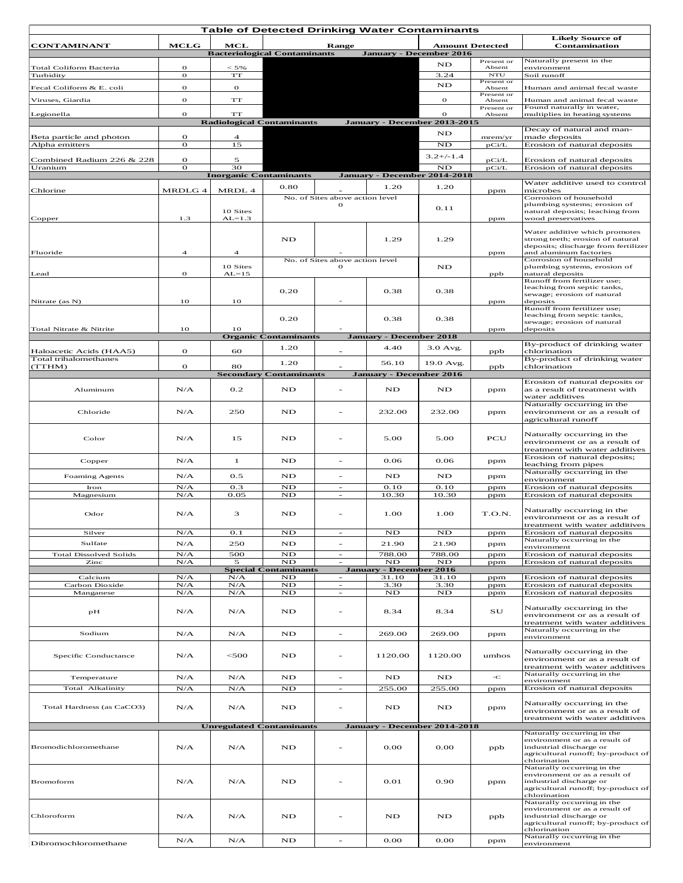| <b>Table of Detected Drinking Water Contaminants</b> |              |                               |                                     |                                             |                                |               |                        |                                                                         |
|------------------------------------------------------|--------------|-------------------------------|-------------------------------------|---------------------------------------------|--------------------------------|---------------|------------------------|-------------------------------------------------------------------------|
| <b>CONTAMINANT</b>                                   | <b>MCLG</b>  | MCL                           |                                     | <b>Range</b>                                |                                |               | <b>Amount Detected</b> | <b>Likely Source of</b><br>Contamination                                |
|                                                      |              |                               | <b>Bacteriological Contaminants</b> |                                             | <b>January - December 2016</b> |               |                        |                                                                         |
| Total Coliform Bacteria                              | $\mathbf{o}$ | $< 5\%$                       |                                     |                                             |                                | ND            | Present or<br>Absent   | Naturally present in the<br>environment                                 |
| Turbidity                                            | $\mathbf{o}$ | $\mathbf{T}\mathbf{T}$        |                                     |                                             |                                | 3.24          | <b>NTU</b>             | Soil runoff                                                             |
| Fecal Coliform & E. coli                             | $\mathbf{o}$ | $\mathbf{o}$                  |                                     |                                             |                                | ND            | Present or<br>Absent   | Human and animal fecal waste                                            |
|                                                      | $\sigma$     | $\mathbf{T}\mathbf{T}$        |                                     |                                             |                                |               | Present or             |                                                                         |
| Viruses, Giardia                                     |              |                               |                                     |                                             |                                | 0             | Absent<br>Present or   | Human and animal fecal waste<br>Found naturally in water,               |
| Legionella                                           | $\mathbf{o}$ | TT                            |                                     |                                             |                                | о             | Absent                 | multiplies in heating systems                                           |
|                                                      |              |                               | <b>Radiological Contaminants</b>    |                                             | January - December 2013-2015   |               |                        | Decay of natural and man-                                               |
| Beta particle and photon                             | $\mathbf{o}$ | $\overline{4}$                |                                     |                                             |                                | ND            | mrem/yr                | made deposits                                                           |
| Alpha emitters                                       | $\mathbf{o}$ | 15                            |                                     |                                             |                                | ND            | pCi/L                  | Erosion of natural deposits                                             |
| Combined Radium 226 & 228                            | о            | 5                             |                                     |                                             |                                | $3.2+/-1.4$   | pCi/L                  | Erosion of natural deposits                                             |
| Uranium                                              | 0            | 30                            |                                     |                                             |                                | ND            | pCi/L                  | Erosion of natural deposits                                             |
|                                                      |              | <b>Inorganic Contaminants</b> |                                     |                                             | January - December 2014-2018   |               |                        | Water additive used to control                                          |
| Chlorine                                             | MRDLG 4      | MRDL 4                        | 0.80                                |                                             | 1.20                           | 1.20          | ppm                    | microbes                                                                |
|                                                      |              |                               |                                     | No. of Sites above action level<br>$\Omega$ |                                |               |                        | Corrosion of household<br>plumbing systems; erosion of                  |
|                                                      |              | 10 Sites                      |                                     |                                             |                                | 0.11          |                        | natural deposits; leaching from                                         |
| Copper                                               | 1.3          | $AL = 1.3$                    |                                     |                                             |                                |               | ppm                    | wood preservatives                                                      |
|                                                      |              |                               |                                     |                                             |                                |               |                        | Water additive which promotes                                           |
|                                                      |              |                               | ND                                  |                                             | 1.29                           | 1.29          |                        | strong teeth; erosion of natural<br>deposits; discharge from fertilizer |
| Fluoride                                             | 4            | 4                             |                                     |                                             |                                |               | ppm                    | and aluminum factories                                                  |
|                                                      |              | 10 Sites                      |                                     | No. of Sites above action level<br>$\Omega$ |                                |               |                        | Corrosion of household<br>plumbing systems, erosion of                  |
| Lead                                                 | $\mathbf{o}$ | $AL=15$                       |                                     |                                             |                                | ND            | ppb                    | natural deposits                                                        |
|                                                      |              |                               |                                     |                                             |                                |               |                        | Runoff from fertilizer use;<br>leaching from septic tanks,              |
|                                                      |              |                               | 0.20                                |                                             | 0.38                           | 0.38          |                        | sewage; erosion of natural                                              |
| Nitrate (as N)                                       | 10           | 10                            |                                     |                                             |                                |               | ppm                    | deposits<br>Runoff from fertilizer use;                                 |
|                                                      |              |                               |                                     |                                             |                                |               |                        | leaching from septic tanks,                                             |
|                                                      |              |                               | 0.20                                |                                             | 0.38                           | 0.38          |                        | sewage; erosion of natural                                              |
| Total Nitrate & Nitrite                              | 10           | 10                            | <b>Organic Contaminants</b>         |                                             | <b>January - December 2018</b> |               | ppm                    | deposits                                                                |
|                                                      |              |                               | 1.20                                |                                             | 4.40                           | $3.0$ Avg.    |                        | By-product of drinking water                                            |
| Haloacetic Acids (HAA5)<br>Total trihalomethanes     | $\mathbf{o}$ | 60                            |                                     |                                             |                                |               | ppb                    | chlorination<br>By-product of drinking water                            |
| (TTHM)                                               | $\mathbf{o}$ | 80                            | 1.20                                |                                             | 56.10                          | 19.0 Avg.     | ppb                    | chlorination                                                            |
|                                                      |              |                               | <b>Secondary Contaminants</b>       |                                             | <b>January - December 2016</b> |               |                        |                                                                         |
| Aluminum                                             | N/A          | 0.2                           | ND                                  | $\blacksquare$                              | ND                             | ND            | ppm                    | Erosion of natural deposits or<br>as a result of treatment with         |
|                                                      |              |                               |                                     |                                             |                                |               |                        | water additives                                                         |
| Chloride                                             | N/A          | 250                           | ND                                  |                                             | 232.00                         | 232.00        |                        | Naturally occurring in the<br>environment or as a result of             |
|                                                      |              |                               |                                     |                                             |                                |               | ppm                    | agricultural runoff                                                     |
|                                                      |              |                               |                                     |                                             |                                |               |                        |                                                                         |
| Color                                                | N/A          | 15                            | ND                                  |                                             | 5.00                           | 5.00          | PCU                    | Naturally occurring in the<br>environment or as a result of             |
|                                                      |              |                               |                                     |                                             |                                |               |                        | treatment with water additives                                          |
| Copper                                               | N/A          | $\mathbf{1}$                  | ND                                  | $\blacksquare$                              | 0.06                           | 0.06          | ppm                    | Erosion of natural deposits;                                            |
|                                                      |              |                               |                                     |                                             |                                |               |                        | leaching from pipes<br>Naturally occurring in the                       |
| <b>Foaming Agents</b>                                | N/A          | 0.5                           | ND                                  |                                             | ND                             | ND            | ppm                    | environment                                                             |
| Iron                                                 | N/A          | 0.3                           | ND                                  | $\overline{\phantom{a}}$                    | 0.10                           | 0.10          | ppm                    | Erosion of natural deposits                                             |
| Magnesium                                            | N/A          | 0.05                          | ${\bf ND}$                          | $\overline{\phantom{a}}$                    | 10.30                          | 10.30         | ppm                    | Erosion of natural deposits                                             |
| Odor                                                 | N/A          | 3                             | ND                                  |                                             | 1.00                           | 1.00          | T.O.N.                 | Naturally occurring in the                                              |
|                                                      |              |                               |                                     |                                             |                                |               |                        | environment or as a result of                                           |
| Silver                                               | N/A          | O.1                           | ${\bf ND}$                          |                                             | ND                             | ND            | ppm                    | treatment with water additives<br>Erosion of natural deposits           |
| Sulfate                                              | N/A          | 250                           | ND                                  | $\overline{\phantom{a}}$                    | 21.90                          | 21.90         | ppm                    | Naturally occurring in the                                              |
| <b>Total Dissolved Solids</b>                        | N/A          | 500                           | ND                                  | $\overline{\phantom{a}}$                    | 788.00                         | 788.00        | ppm                    | environment<br>Erosion of natural deposits                              |
| Zinc                                                 | N/A          | 5                             | ND                                  | $\overline{\phantom{a}}$                    | ND                             | ND            | ppm                    | Erosion of natural deposits                                             |
|                                                      |              |                               | <b>Special Contaminants</b>         |                                             | <b>January - December 2016</b> |               |                        |                                                                         |
| Calcium<br>Carbon Dioxide                            | N/A<br>N/A   | N/A<br>N/A                    | ND<br>ND                            | $\overline{\phantom{a}}$<br>÷               | 31.10<br>3.30                  | 31.10<br>3.30 | ppm<br>ppm             | Erosion of natural deposits<br>Erosion of natural deposits              |
| Manganese                                            | N/A          | N/A                           | ND                                  | $\sim$                                      | $\mathbf{ND}$                  | ND            | ppm                    | Erosion of natural deposits                                             |
|                                                      |              |                               |                                     |                                             |                                |               |                        |                                                                         |
| pН                                                   | N/A          | N/A                           | ND                                  |                                             | 8.34                           | 8.34          | $\mathbf{S}\mathbf{U}$ | Naturally occurring in the<br>environment or as a result of             |
|                                                      |              |                               |                                     |                                             |                                |               |                        | treatment with water additives                                          |
| Sodium                                               | N/A          | N/A                           | ND                                  | $\overline{\phantom{a}}$                    | 269.00                         | 269.00        | ppm                    | Naturally occurring in the<br>environment                               |
|                                                      |              |                               |                                     |                                             |                                |               |                        |                                                                         |
| Specific Conductance                                 | N/A          | $<$ 500                       | ND                                  |                                             | 1120.00                        | 1120.00       | umhos                  | Naturally occurring in the                                              |
|                                                      |              |                               |                                     |                                             |                                |               |                        | environment or as a result of<br>treatment with water additives         |
| Temperature                                          | N/A          | N/A                           | ND                                  |                                             | ND                             | ND            | $\circ \mathbf{C}$     | Naturally occurring in the                                              |
| Total Alkalinity                                     | N/A          | N/A                           | ${\bf ND}$                          | $\overline{\phantom{a}}$                    | 255.00                         | 255.00        | ppm                    | environment<br>Erosion of natural deposits                              |
|                                                      |              |                               |                                     |                                             |                                |               |                        |                                                                         |
| Total Hardness (as CaCO3)                            | N/A          | N/A                           | ND                                  | ÷                                           | ND                             | ND            | ppm                    | Naturally occurring in the<br>environment or as a result of             |
|                                                      |              |                               |                                     |                                             |                                |               |                        | treatment with water additives                                          |
|                                                      |              |                               | <b>Unregulated Contaminants</b>     |                                             | January - December 2014-2018   |               |                        |                                                                         |
|                                                      |              |                               |                                     |                                             |                                |               |                        | Naturally occurring in the<br>environment or as a result of             |
| Bromodichloromethane                                 | N/A          | N/A                           | ND                                  |                                             | 0.00                           | 0.00          | ppb                    | industrial discharge or                                                 |
|                                                      |              |                               |                                     |                                             |                                |               |                        | agricultural runoff; by-product of<br>chlorination                      |
|                                                      |              |                               |                                     |                                             |                                |               |                        | Naturally occurring in the                                              |
| Bromoform                                            | N/A          | N/A                           | ND                                  |                                             | 0.01                           | 0.90          | ppm                    | environment or as a result of<br>industrial discharge or                |
|                                                      |              |                               |                                     |                                             |                                |               |                        | agricultural runoff; by-product of                                      |
|                                                      |              |                               |                                     |                                             |                                |               |                        | chlorination<br>Naturally occurring in the                              |
|                                                      |              |                               |                                     |                                             |                                |               |                        | environment or as a result of                                           |
| Chloroform                                           | N/A          | N/A                           | ND                                  |                                             | ND                             | ND            | ppb                    | industrial discharge or<br>agricultural runoff; by-product of           |
|                                                      |              |                               |                                     |                                             |                                |               |                        | chlorination                                                            |
| Dibromochloromethane                                 | N/A          | N/A                           | ND                                  | $\overline{\phantom{a}}$                    | 0.00                           | 0.00          | ppm                    | Naturally occurring in the<br>environment                               |